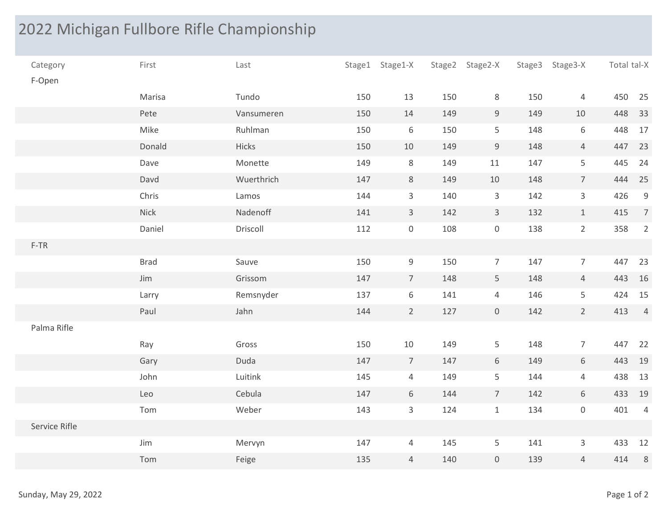## 2022 Michigan Fullbore Rifle Championship

|                      |             | 2022 Michigan Fullbore Rifle Championship |     |                     |     |                     |        |                 |             |                |
|----------------------|-------------|-------------------------------------------|-----|---------------------|-----|---------------------|--------|-----------------|-------------|----------------|
|                      |             |                                           |     |                     |     |                     |        |                 |             |                |
| Category<br>F-Open   | First       | Last                                      |     | Stage1 Stage1-X     |     | Stage2 Stage2-X     | Stage3 | Stage3-X        | Total tal-X |                |
|                      | Marisa      | Tundo                                     | 150 | 13                  | 150 | 8                   | 150    | 4               | 450 25      |                |
|                      | Pete        | Vansumeren                                | 150 | 14                  | 149 | 9                   | 149    | 10              | 448 33      |                |
|                      | Mike        | Ruhlman                                   | 150 | 6                   | 150 | 5 <sub>1</sub>      | 148    | 6               | 448 17      |                |
|                      | Donald      | Hicks                                     | 150 | $10$                | 149 | 9                   | 148    | $\overline{4}$  | 447 23      |                |
|                      | Dave        | Monette                                   | 149 | $8\phantom{1}$      | 149 | 11                  | 147    | 5 <sub>1</sub>  | 445 24      |                |
|                      | Davd        | Wuerthrich                                | 147 | $\,$ 8              | 149 | 10                  | 148    | $7\overline{ }$ | 444 25      |                |
|                      | Chris       | Lamos                                     | 144 | $\overline{3}$      | 140 | $\mathbf{3}$        | 142    | $\mathbf{3}$    | 426         | 9              |
|                      | Nick        | Nadenoff                                  | 141 | $\overline{3}$      | 142 | $\overline{3}$      | 132    | $\mathbf{1}$    | 415         | $\overline{7}$ |
|                      | Daniel      | Driscoll                                  | 112 | $\mathsf{O}\xspace$ | 108 | $\overline{0}$      | 138    | $\overline{2}$  | 358         | $\overline{2}$ |
| $F-TR$               |             |                                           |     |                     |     |                     |        |                 |             |                |
|                      | <b>Brad</b> | Sauve                                     | 150 | 9                   | 150 | $7\overline{ }$     | 147    | $7\overline{ }$ | 447         | 23             |
|                      | Jim         | Grissom                                   | 147 | $\overline{7}$      | 148 | 5 <sup>5</sup>      | 148    | $\overline{4}$  | 443 16      |                |
|                      | Larry       | Remsnyder                                 | 137 | $6\phantom{.}6$     | 141 | $\overline{4}$      | 146    | 5 <sub>1</sub>  | 424 15      |                |
|                      | Paul        | Jahn                                      | 144 | $\overline{2}$      | 127 | $\overline{0}$      | 142    | 2               | 413         | $\overline{4}$ |
| Palma Rifle          |             |                                           |     |                     |     |                     |        |                 |             |                |
|                      | Ray         | Gross                                     | 150 | 10                  | 149 | 5                   | 148    | $\overline{7}$  | 447 22      |                |
|                      | Gary        | Duda                                      | 147 | $7\overline{ }$     | 147 | 6 <sup>1</sup>      | 149    | 6               | 443 19      |                |
|                      | John        | Luitink                                   | 145 | $\overline{4}$      | 149 | 5 <sub>1</sub>      | 144    | $\overline{4}$  | 438 13      |                |
|                      | Leo         | Cebula                                    | 147 | $6\,$               | 144 | $7\overline{ }$     | 142    | 6               | 433 19      |                |
|                      | Tom         | Weber                                     | 143 | $\overline{3}$      | 124 | $\mathbf{1}$        | 134    | $\overline{0}$  | 401         | $\overline{4}$ |
| Service Rifle        |             |                                           |     |                     |     |                     |        |                 |             |                |
|                      | Jim         | Mervyn                                    | 147 | $\overline{4}$      | 145 | 5 <sup>1</sup>      | 141    | $\mathbf{3}$    | 433 12      |                |
|                      | Tom         | Feige                                     | 135 | $\overline{4}$      | 140 | $\mathsf{O}\xspace$ | 139    | $\overline{4}$  | 414         | $8\,$          |
| Sunday, May 29, 2022 |             |                                           |     |                     |     |                     |        |                 | Page 1 of 2 |                |